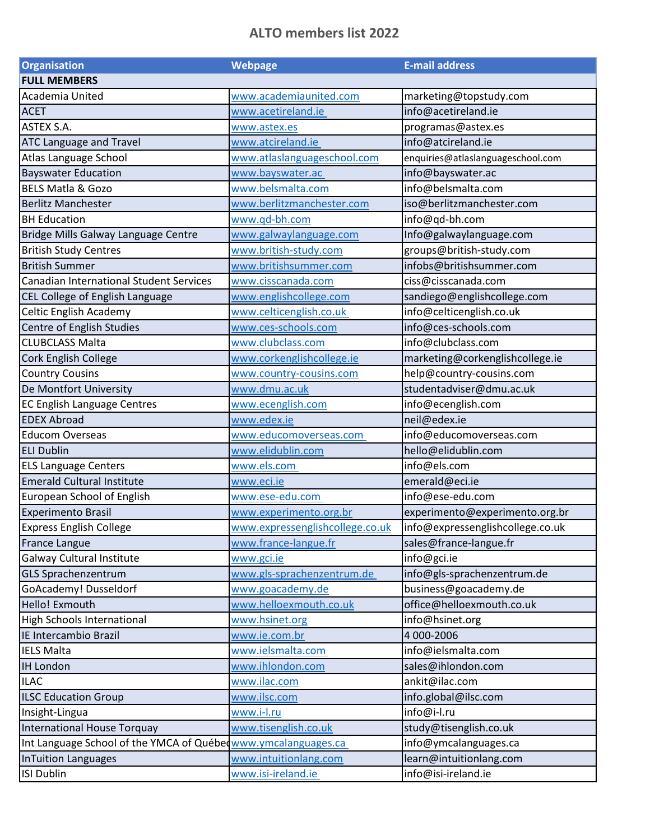## **ALTO members list 2022**

| <b>Organisation</b>                                           | <b>Webpage</b>                  | <b>E-mail address</b>             |
|---------------------------------------------------------------|---------------------------------|-----------------------------------|
| <b>FULL MEMBERS</b>                                           |                                 |                                   |
| Academia United                                               | www.academiaunited.com          | marketing@topstudy.com            |
| <b>ACET</b>                                                   | www.acetireland.ie              | info@acetireland.ie               |
| ASTEX S.A.                                                    | www.astex.es                    | programas@astex.es                |
| ATC Language and Travel                                       | www.atcireland.ie               | info@atcireland.ie                |
| Atlas Language School                                         | www.atlaslanguageschool.com     | enquiries@atlaslanguageschool.com |
| <b>Bayswater Education</b>                                    | www.bayswater.ac                | info@bayswater.ac                 |
| <b>BELS Matla &amp; Gozo</b>                                  | www.belsmalta.com               | info@belsmalta.com                |
| <b>Berlitz Manchester</b>                                     | www.berlitzmanchester.com       | iso@berlitzmanchester.com         |
| <b>BH Education</b>                                           | www.qd-bh.com                   | info@qd-bh.com                    |
| Bridge Mills Galway Language Centre                           | www.galwaylanguage.com          | Info@galwaylanguage.com           |
| <b>British Study Centres</b>                                  | www.british-study.com           | groups@british-study.com          |
| <b>British Summer</b>                                         | www.britishsummer.com           | infobs@britishsummer.com          |
| <b>Canadian International Student Services</b>                | www.cisscanada.com              | ciss@cisscanada.com               |
| CEL College of English Language                               | www.englishcollege.com          | sandiego@englishcollege.com       |
| <b>Celtic English Academy</b>                                 | www.celticenglish.co.uk         | info@celticenglish.co.uk          |
| Centre of English Studies                                     | www.ces-schools.com             | info@ces-schools.com              |
| <b>CLUBCLASS Malta</b>                                        | www.clubclass.com               | info@clubclass.com                |
| Cork English College                                          | www.corkenglishcollege.ie       | marketing@corkenglishcollege.ie   |
| <b>Country Cousins</b>                                        | www.country-cousins.com         | help@country-cousins.com          |
| De Montfort University                                        | www.dmu.ac.uk                   | studentadviser@dmu.ac.uk          |
| <b>EC English Language Centres</b>                            | www.ecenglish.com               | info@ecenglish.com                |
| <b>EDEX Abroad</b>                                            | www.edex.ie                     | neil@edex.ie                      |
| <b>Educom Overseas</b>                                        | www.educomoverseas.com          | info@educomoverseas.com           |
| <b>ELI Dublin</b>                                             | www.elidublin.com               | hello@elidublin.com               |
| <b>ELS Language Centers</b>                                   | www.els.com                     | info@els.com                      |
| <b>Emerald Cultural Institute</b>                             | www.eci.ie                      | emerald@eci.ie                    |
| European School of English                                    | www.ese-edu.com                 | info@ese-edu.com                  |
| <b>Experimento Brasil</b>                                     | www.experimento.org.br          | experimento@experimento.org.br    |
| <b>Express English College</b>                                | www.expressenglishcollege.co.uk | info@expressenglishcollege.co.uk  |
| <b>France Langue</b>                                          | www.france-langue.fr            | sales@france-langue.fr            |
| <b>Galway Cultural Institute</b>                              | www.gci.ie                      | info@gci.ie                       |
| <b>GLS Sprachenzentrum</b>                                    | www.gls-sprachenzentrum.de      | info@gls-sprachenzentrum.de       |
| GoAcademy! Dusseldorf                                         | www.goacademy.de                | business@goacademy.de             |
| Hello! Exmouth                                                | www.helloexmouth.co.uk          | office@helloexmouth.co.uk         |
| High Schools International                                    | www.hsinet.org                  | info@hsinet.org                   |
| IE Intercambio Brazil                                         | www.ie.com.br                   | 4 000-2006                        |
| <b>IELS Malta</b>                                             | www.ielsmalta.com               | info@ielsmalta.com                |
| <b>IH London</b>                                              | www.ihlondon.com                | sales@ihlondon.com                |
| <b>ILAC</b>                                                   | www.ilac.com                    | ankit@ilac.com                    |
| <b>ILSC Education Group</b>                                   | www.ilsc.com                    | info.global@ilsc.com              |
| Insight-Lingua                                                | www.i-l.ru                      | info@i-l.ru                       |
| International House Torquay                                   | www.tisenglish.co.uk            | study@tisenglish.co.uk            |
| Int Language School of the YMCA of Québe www.ymcalanguages.ca |                                 | info@ymcalanguages.ca             |
| <b>InTuition Languages</b>                                    | www.intuitionlang.com           | learn@intuitionlang.com           |
| <b>ISI Dublin</b>                                             | www.isi-ireland.ie              | info@isi-ireland.ie               |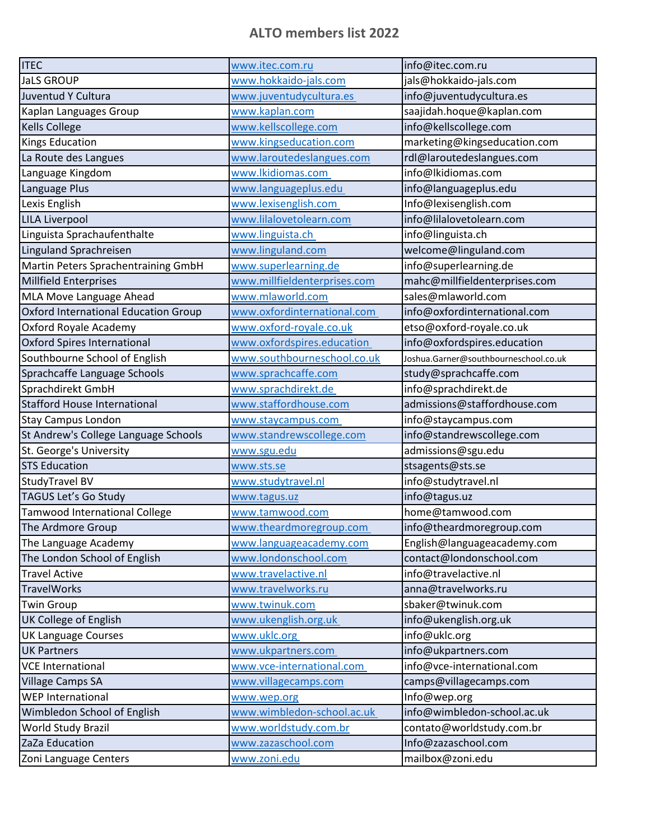## **ALTO members list 2022**

| <b>ITEC</b>                                 | www.itec.com.ru              | info@itec.com.ru                      |
|---------------------------------------------|------------------------------|---------------------------------------|
| <b>JaLS GROUP</b>                           | www.hokkaido-jals.com        | jals@hokkaido-jals.com                |
| Juventud Y Cultura                          | www.juventudycultura.es      | info@juventudycultura.es              |
| Kaplan Languages Group                      | www.kaplan.com               | saajidah.hoque@kaplan.com             |
| <b>Kells College</b>                        | www.kellscollege.com         | info@kellscollege.com                 |
| <b>Kings Education</b>                      | www.kingseducation.com       | marketing@kingseducation.com          |
| La Route des Langues                        | www.laroutedeslangues.com    | rdl@laroutedeslangues.com             |
| Language Kingdom                            | www.lkidiomas.com            | info@lkidiomas.com                    |
| Language Plus                               | www.languageplus.edu         | info@languageplus.edu                 |
| Lexis English                               | www.lexisenglish.com         | Info@lexisenglish.com                 |
| <b>LILA Liverpool</b>                       | www.lilalovetolearn.com      | info@lilalovetolearn.com              |
| Linguista Sprachaufenthalte                 | www.linguista.ch             | info@linguista.ch                     |
| Linguland Sprachreisen                      | www.linguland.com            | welcome@linguland.com                 |
| Martin Peters Sprachentraining GmbH         | www.superlearning.de         | info@superlearning.de                 |
| Millfield Enterprises                       | www.millfieldenterprises.com | mahc@millfieldenterprises.com         |
| MLA Move Language Ahead                     | www.mlaworld.com             | sales@mlaworld.com                    |
| <b>Oxford International Education Group</b> | www.oxfordinternational.com  | info@oxfordinternational.com          |
| Oxford Royale Academy                       | www.oxford-royale.co.uk      | etso@oxford-royale.co.uk              |
| <b>Oxford Spires International</b>          | www.oxfordspires.education   | info@oxfordspires.education           |
| Southbourne School of English               | www.southbourneschool.co.uk  | Joshua.Garner@southbourneschool.co.uk |
| Sprachcaffe Language Schools                | www.sprachcaffe.com          | study@sprachcaffe.com                 |
| Sprachdirekt GmbH                           | www.sprachdirekt.de          | info@sprachdirekt.de                  |
| <b>Stafford House International</b>         | www.staffordhouse.com        | admissions@staffordhouse.com          |
| <b>Stay Campus London</b>                   | www.staycampus.com           | info@staycampus.com                   |
| St Andrew's College Language Schools        | www.standrewscollege.com     | info@standrewscollege.com             |
| St. George's University                     | www.sgu.edu                  | admissions@sgu.edu                    |
| <b>STS Education</b>                        | www.sts.se                   | stsagents@sts.se                      |
| StudyTravel BV                              | www.studytravel.nl           | info@studytravel.nl                   |
| TAGUS Let's Go Study                        | www.tagus.uz                 | info@tagus.uz                         |
| <b>Tamwood International College</b>        | www.tamwood.com              | home@tamwood.com                      |
| The Ardmore Group                           | www.theardmoregroup.com      | info@theardmoregroup.com              |
| The Language Academy                        | www.languageacademy.com      | English@languageacademy.com           |
| The London School of English                | www.londonschool.com         | contact@londonschool.com              |
| <b>Travel Active</b>                        | www.travelactive.nl          | info@travelactive.nl                  |
| <b>TravelWorks</b>                          | www.travelworks.ru           | anna@travelworks.ru                   |
| <b>Twin Group</b>                           | www.twinuk.com               | sbaker@twinuk.com                     |
| UK College of English                       | www.ukenglish.org.uk         | info@ukenglish.org.uk                 |
| <b>UK Language Courses</b>                  | www.uklc.org                 | info@uklc.org                         |
| <b>UK Partners</b>                          | www.ukpartners.com           | info@ukpartners.com                   |
| <b>VCE International</b>                    | www.vce-international.com    | info@vce-international.com            |
| <b>Village Camps SA</b>                     | www.villagecamps.com         | camps@villagecamps.com                |
| <b>WEP International</b>                    | www.wep.org                  | Info@wep.org                          |
| Wimbledon School of English                 | www.wimbledon-school.ac.uk   | info@wimbledon-school.ac.uk           |
| <b>World Study Brazil</b>                   | www.worldstudy.com.br        | contato@worldstudy.com.br             |
| ZaZa Education                              | www.zazaschool.com           | Info@zazaschool.com                   |
| Zoni Language Centers                       | www.zoni.edu                 | mailbox@zoni.edu                      |